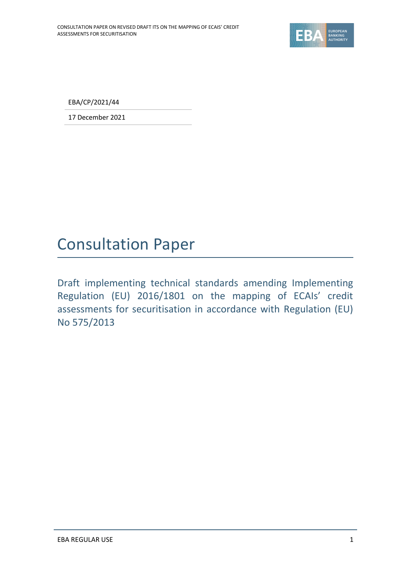

EBA/CP/2021/44

17 December 2021

## Consultation Paper

Draft implementing technical standards amending Implementing Regulation (EU) 2016/1801 on the mapping of ECAIs' credit assessments for securitisation in accordance with Regulation (EU) No 575/2013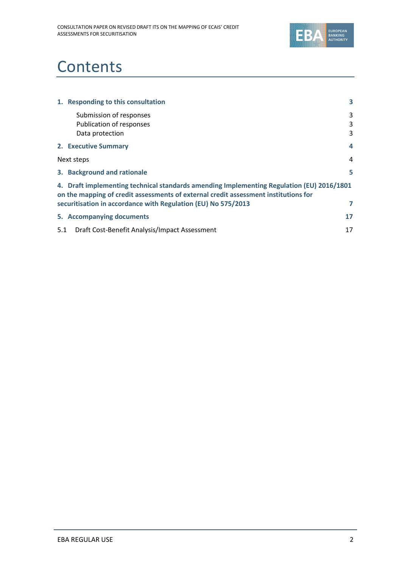

## **Contents**

|     | 1. Responding to this consultation                                                                                                                                                                                                                | 3           |
|-----|---------------------------------------------------------------------------------------------------------------------------------------------------------------------------------------------------------------------------------------------------|-------------|
|     | Submission of responses<br>Publication of responses<br>Data protection                                                                                                                                                                            | 3<br>3<br>3 |
|     | 2. Executive Summary                                                                                                                                                                                                                              | 4           |
|     | Next steps                                                                                                                                                                                                                                        | 4           |
|     | 3. Background and rationale                                                                                                                                                                                                                       | 5           |
|     | 4. Draft implementing technical standards amending Implementing Regulation (EU) 2016/1801<br>on the mapping of credit assessments of external credit assessment institutions for<br>securitisation in accordance with Regulation (EU) No 575/2013 | 7           |
|     | 5. Accompanying documents                                                                                                                                                                                                                         | 17          |
| 5.1 | Draft Cost-Benefit Analysis/Impact Assessment                                                                                                                                                                                                     | 17          |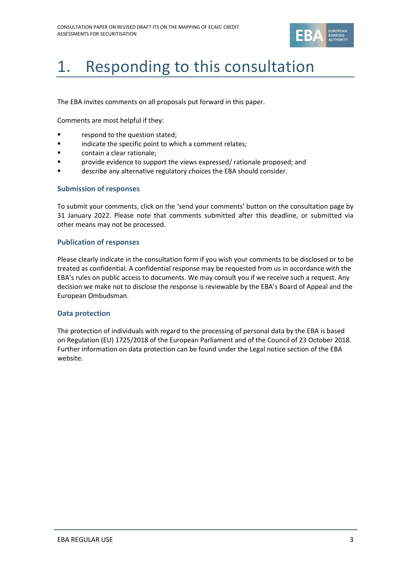

# 1. Responding to this consultation

The EBA invites comments on all proposals put forward in this paper.

Comments are most helpful if they:

- respond to the question stated;
- **■** indicate the specific point to which a comment relates;
- contain a clear rationale;
- **Provide evidence to support the views expressed/ rationale proposed; and**
- describe any alternative regulatory choices the EBA should consider.

### **Submission of responses**

To submit your comments, click on the 'send your comments' button on the consultation page by 31 January 2022. Please note that comments submitted after this deadline, or submitted via other means may not be processed.

### **Publication of responses**

Please clearly indicate in the consultation form if you wish your comments to be disclosed or to be treated as confidential. A confidential response may be requested from us in accordance with the EBA's rules on public access to documents. We may consult you if we receive such a request. Any decision we make not to disclose the response is reviewable by the EBA's Board of Appeal and the European Ombudsman.

#### **Data protection**

The protection of individuals with regard to the processing of personal data by the EBA is based on Regulation (EU) 1725/2018 of the European Parliament and of the Council of 23 October 2018. Further information on data protection can be found under the [Legal notice section](http://eba.europa.eu/legal-notice) of the EBA website.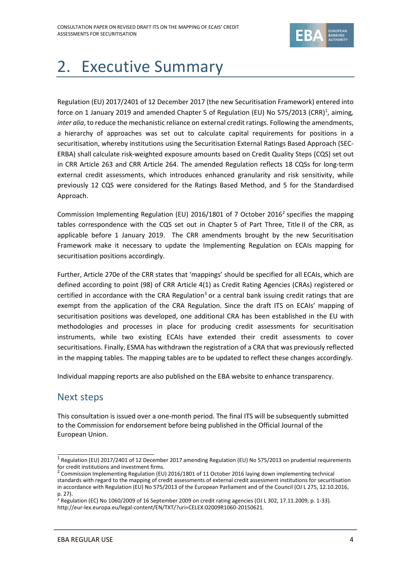

# 2. Executive Summary

Regulation (EU) 2017/2401 of 12 December 2017 (the new Securitisation Framework) entered into force on 1 January 2019 and amended Chapter 5 of Regulation (EU) No 575/2013 (CRR)<sup>1</sup>, aiming, *inter alia*, to reduce the mechanistic reliance on external credit ratings. Following the amendments, a hierarchy of approaches was set out to calculate capital requirements for positions in a securitisation, whereby institutions using the Securitisation External Ratings Based Approach (SEC-ERBA) shall calculate risk-weighted exposure amounts based on Credit Quality Steps (CQS) set out in CRR Article 263 and CRR Article 264. The amended Regulation reflects 18 CQSs for long-term external credit assessments, which introduces enhanced granularity and risk sensitivity, while previously 12 CQS were considered for the Ratings Based Method, and 5 for the Standardised Approach.

Commission Implementing Regulation (EU) 2016/1801 of 7 October 2016<sup>2</sup> specifies the mapping tables correspondence with the CQS set out in Chapter 5 of Part Three, Title II of the CRR, as applicable before 1 January 2019. The CRR amendments brought by the new Securitisation Framework make it necessary to update the Implementing Regulation on ECAIs mapping for securitisation positions accordingly.

Further, Article 270e of the CRR states that 'mappings' should be specified for all ECAIs, which are defined according to point (98) of CRR Article 4(1) as Credit Rating Agencies (CRAs) registered or certified in accordance with the CRA Regulation<sup>3</sup> or a central bank issuing credit ratings that are exempt from the application of the CRA Regulation. Since the draft ITS on ECAIs' mapping of securitisation positions was developed, one additional CRA has been established in the EU with methodologies and processes in place for producing credit assessments for securitisation instruments, while two existing ECAIs have extended their credit assessments to cover securitisations. Finally, ESMA has withdrawn the registration of a CRA that was previously reflected in the mapping tables. The mapping tables are to be updated to reflect these changes accordingly.

Individual mapping reports are also published on the EBA website to enhance transparency.

## Next steps

This consultation is issued over a one-month period. The final ITS will be subsequently submitted to the Commission for endorsement before being published in the Official Journal of the European Union.

<sup>&</sup>lt;sup>1</sup> Regulation (EU) 2017/2401 of 12 December 2017 amending Regulation (EU) No 575/2013 on prudential requirements

for credit institutions and investment firms.<br><sup>2</sup> Commission Implementing Regulation (EU) 2016/1801 of 11 October 2016 laying down implementing technical standards with regard to the mapping of credit assessments of external credit assessment institutions for securitisation in accordance with Regulation (EU) No 575/2013 of the European Parliament and of the Council (OJ L 275, 12.10.2016, p. 27).

<sup>&</sup>lt;sup>3</sup> Regulation (EC) No 1060/2009 of 16 September 2009 on credit rating agencies (OJ L 302, 17.11.2009, p. 1-33). [http://eur-lex.europa.eu/legal-content/EN/TXT/?uri=CELEX:02009R1060-20150621.](http://eur-lex.europa.eu/legal-content/EN/TXT/?uri=CELEX:02009R1060-20150621)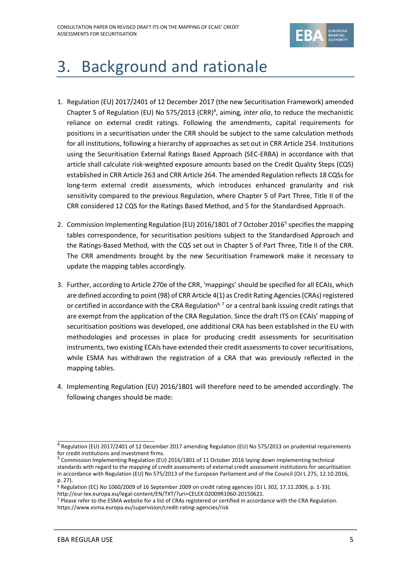

# 3. Background and rationale

- 1. Regulation (EU) 2017/2401 of 12 December 2017 (the new Securitisation Framework) amended Chapter 5 of Regulation (EU) No 575/2013 (CRR)<sup>4</sup>, aiming, *inter alia*, to reduce the mechanistic reliance on external credit ratings. Following the amendments, capital requirements for positions in a securitisation under the CRR should be subject to the same calculation methods for all institutions, following a hierarchy of approaches as set out in CRR Article 254. Institutions using the Securitisation External Ratings Based Approach (SEC-ERBA) in accordance with that article shall calculate risk-weighted exposure amounts based on the Credit Quality Steps (CQS) established in CRR Article 263 and CRR Article 264. The amended Regulation reflects 18 CQSs for long-term external credit assessments, which introduces enhanced granularity and risk sensitivity compared to the previous Regulation, where Chapter 5 of Part Three, Title II of the CRR considered 12 CQS for the Ratings Based Method, and 5 for the Standardised Approach.
- 2. Commission Implementing Regulation (EU) 2016/1801 of 7 October 2016<sup>5</sup> specifies the mapping tables correspondence, for securitisation positions subject to the Standardised Approach and the Ratings-Based Method, with the CQS set out in Chapter 5 of Part Three, Title II of the CRR. The CRR amendments brought by the new Securitisation Framework make it necessary to update the mapping tables accordingly.
- 3. Further, according to Article 270e of the CRR, 'mappings' should be specified for all ECAIs, which are defined according to point (98) of CRR Article 4(1) as Credit Rating Agencies (CRAs) registered or certified in accordance with the CRA Regulation<sup>6, 7</sup> or a central bank issuing credit ratings that are exempt from the application of the CRA Regulation. Since the draft ITS on ECAIs' mapping of securitisation positions was developed, one additional CRA has been established in the EU with methodologies and processes in place for producing credit assessments for securitisation instruments, two existing ECAIs have extended their credit assessments to cover securitisations, while ESMA has withdrawn the registration of a CRA that was previously reflected in the mapping tables.
- 4. Implementing Regulation (EU) 2016/1801 will therefore need to be amended accordingly. The following changes should be made:

<sup>&</sup>lt;sup>4</sup> Regulation (EU) 2017/2401 of 12 December 2017 amending Regulation (EU) No 575/2013 on prudential requirements for credit institutions and investment firms.

<sup>&</sup>lt;sup>5</sup> Commission Implementing Regulation (EU) 2016/1801 of 11 October 2016 laying down implementing technical standards with regard to the mapping of credit assessments of external credit assessment institutions for securitisation in accordance with Regulation (EU) No 575/2013 of the European Parliament and of the Council (OJ L 275, 12.10.2016, p. 27)

 $6$  Regulation (EC) No 1060/2009 of 16 September 2009 on credit rating agencies (OJ L 302, 17.11.2009, p. 1-33). [http://eur-lex.europa.eu/legal-content/EN/TXT/?uri=CELEX:02009R1060-20150621.](http://eur-lex.europa.eu/legal-content/EN/TXT/?uri=CELEX:02009R1060-20150621) 

<sup>7</sup> Please refer to the ESMA website for a list of CRAs registered or certified in accordance with the CRA Regulation. <https://www.esma.europa.eu/supervision/credit-rating-agencies/risk>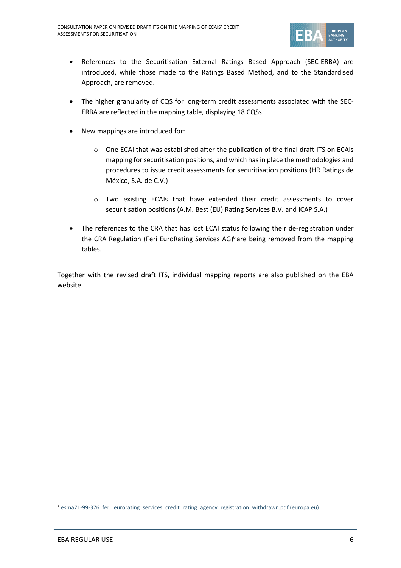

- References to the Securitisation External Ratings Based Approach (SEC-ERBA) are introduced, while those made to the Ratings Based Method, and to the Standardised Approach, are removed.
- The higher granularity of CQS for long-term credit assessments associated with the SEC-ERBA are reflected in the mapping table, displaying 18 CQSs.
- New mappings are introduced for:
	- o One ECAI that was established after the publication of the final draft ITS on ECAIs mapping for securitisation positions, and which has in place the methodologies and procedures to issue credit assessments for securitisation positions (HR Ratings de México, S.A. de C.V.)
	- o Two existing ECAIs that have extended their credit assessments to cover securitisation positions (A.M. Best (EU) Rating Services B.V. and ICAP S.A.)
- The references to the CRA that has lost ECAI status following their de-registration under the CRA Regulation (Feri EuroRating Services AG)<sup>8</sup> are being removed from the mapping tables.

Together with the revised draft ITS, individual mapping reports are also published on the EBA website.

<sup>&</sup>lt;sup>8</sup> esma71-99-376 feri eurorating services credit rating agency registration withdrawn.pdf (europa.eu)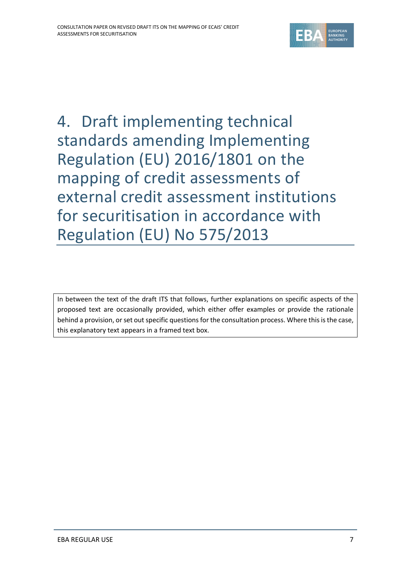

4. Draft implementing technical standards amending Implementing Regulation (EU) 2016/1801 on the mapping of credit assessments of external credit assessment institutions for securitisation in accordance with Regulation (EU) No 575/2013

In between the text of the draft ITS that follows, further explanations on specific aspects of the proposed text are occasionally provided, which either offer examples or provide the rationale behind a provision, or set out specific questions for the consultation process. Where this is the case, this explanatory text appears in a framed text box.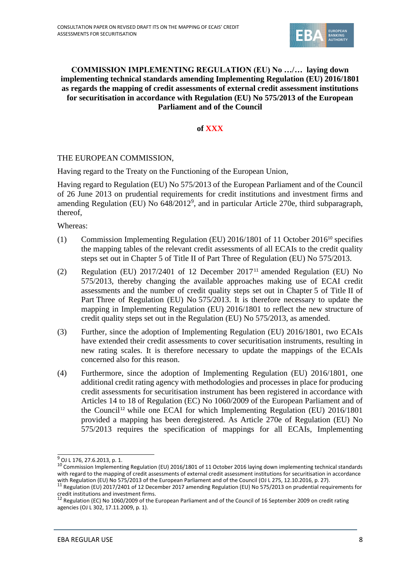

## **COMMISSION IMPLEMENTING REGULATION (EU) No …/… laying down implementing technical standards amending Implementing Regulation (EU) 2016/1801 as regards the mapping of credit assessments of external credit assessment institutions for securitisation in accordance with Regulation (EU) No 575/2013 of the European Parliament and of the Council**

## **of XXX**

## THE EUROPEAN COMMISSION,

Having regard to the Treaty on the Functioning of the European Union,

Having regard to Regulation (EU) No 575/2013 of the European Parliament and of the Council of 26 June 2013 on prudential requirements for credit institutions and investment firms and amending Regulation (EU) No 648/2012<sup>9</sup>, and in particular Article 270e, third subparagraph, thereof,

Whereas:

- (1) Commission Implementing Regulation (EU) 2016/1801 of 11 October 2016<sup>10</sup> specifies the mapping tables of the relevant credit assessments of all ECAIs to the credit quality steps set out in Chapter 5 of Title II of Part Three of Regulation (EU) No 575/2013.
- (2) Regulation (EU)  $2017/2401$  of 12 December  $2017<sup>11</sup>$  amended Regulation (EU) No 575/2013, thereby changing the available approaches making use of ECAI credit assessments and the number of credit quality steps set out in Chapter 5 of Title II of Part Three of Regulation (EU) No 575/2013. It is therefore necessary to update the mapping in Implementing Regulation (EU) 2016/1801 to reflect the new structure of credit quality steps set out in the Regulation (EU) No 575/2013, as amended.
- (3) Further, since the adoption of Implementing Regulation (EU) 2016/1801, two ECAIs have extended their credit assessments to cover securitisation instruments, resulting in new rating scales. It is therefore necessary to update the mappings of the ECAIs concerned also for this reason.
- (4) Furthermore, since the adoption of Implementing Regulation (EU) 2016/1801, one additional credit rating agency with methodologies and processes in place for producing credit assessments for securitisation instrument has been registered in accordance with Articles 14 to 18 of Regulation (EC) No 1060/2009 of the European Parliament and of the Council<sup>12</sup> while one ECAI for which Implementing Regulation (EU)  $2016/1801$ provided a mapping has been deregistered. As Article 270e of Regulation (EU) No 575/2013 requires the specification of mappings for all ECAIs, Implementing

<sup>9</sup> OJ L 176, 27.6.2013, p. 1.

<sup>&</sup>lt;sup>10</sup> Commission Implementing Regulation (EU) 2016/1801 of 11 October 2016 laying down implementing technical standards with regard to the mapping of credit assessments of external credit assessment institutions for securitisation in accordance with Regulation (EU) No 575/2013 of the European Parliament and of the Council (OJ L 275, 12.10.2016, p. 27).<br><sup>11</sup> Regulation (EU) 2017/2401 of 12 December 2017 amending Regulation (EU) No 575/2013 on prudential requiremen

credit institutions and investment firms.<br><sup>12</sup> Regulation (EC) No 1060/2009 of the European Parliament and of the Council of 16 September 2009 on credit rating agencies (OJ L 302, 17.11.2009, p. 1).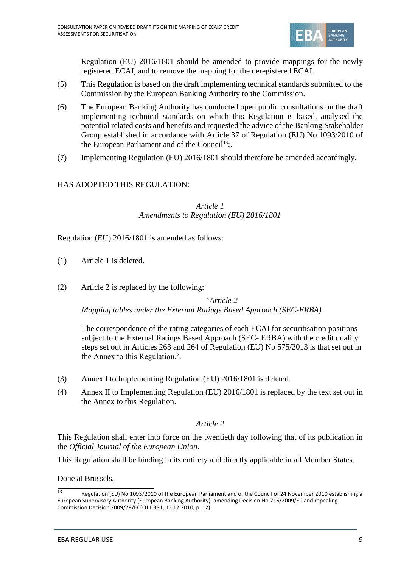

Regulation (EU) 2016/1801 should be amended to provide mappings for the newly registered ECAI, and to remove the mapping for the deregistered ECAI.

- (5) This Regulation is based on the draft implementing technical standards submitted to the Commission by the European Banking Authority to the Commission.
- (6) The European Banking Authority has conducted open public consultations on the draft implementing technical standards on which this Regulation is based, analysed the potential related costs and benefits and requested the advice of the Banking Stakeholder Group established in accordance with Article 37 of Regulation (EU) No 1093/2010 of the European Parliament and of the Council<sup>13</sup>;.
- (7) Implementing Regulation (EU) 2016/1801 should therefore be amended accordingly,

## HAS ADOPTED THIS REGULATION:

*Article 1 Amendments to Regulation (EU) 2016/1801*

Regulation (EU) 2016/1801 is amended as follows:

- (1) Article 1 is deleted.
- (2) Article 2 is replaced by the following:

'*Article 2*

*Mapping tables under the External Ratings Based Approach (SEC-ERBA)*

The correspondence of the rating categories of each ECAI for securitisation positions subject to the External Ratings Based Approach (SEC- ERBA) with the credit quality steps set out in Articles 263 and 264 of Regulation (EU) No 575/2013 is that set out in the Annex to this Regulation.'.

- (3) Annex I to Implementing Regulation (EU) 2016/1801 is deleted.
- (4) Annex II to Implementing Regulation (EU) 2016/1801 is replaced by the text set out in the Annex to this Regulation.

## *Article 2*

This Regulation shall enter into force on the twentieth day following that of its publication in the *Official Journal of the European Union*.

This Regulation shall be binding in its entirety and directly applicable in all Member States.

Done at Brussels,

 $\frac{13}{13}$  Regulation (EU) No 1093/2010 of the European Parliament and of the Council of 24 November 2010 establishing a European Supervisory Authority (European Banking Authority), amending Decision No 716/2009/EC and repealing Commission Decision 2009/78/EC(OJ L 331, 15.12.2010, p. 12).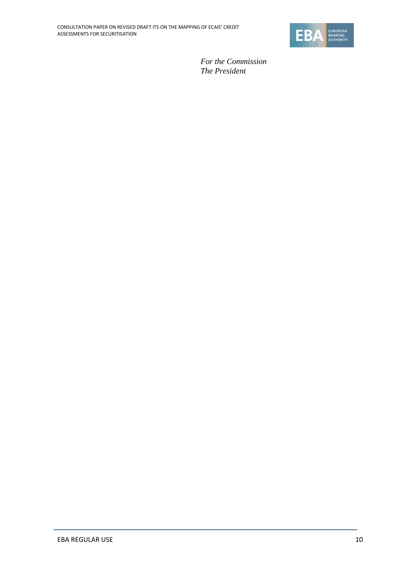

*For the Commission The President*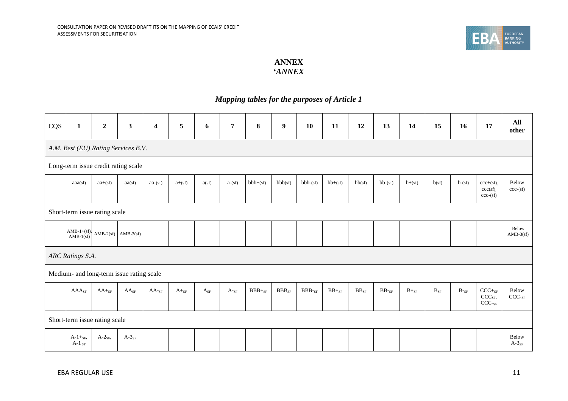

## **ANNEX '***ANNEX*

## *Mapping tables for the purposes of Article 1*

| CQS | $\mathbf{1}$                     | $\boldsymbol{2}$ | $\mathbf{3}$                             | $\overline{\mathbf{4}}$ | 5         | 6        | $\overline{7}$  | $\bf{8}$    | $\boldsymbol{9}$ | 10           | 11         | 12        | 13        | 14        | 15                    | 16       | 17                                                              | All<br>other               |
|-----|----------------------------------|------------------|------------------------------------------|-------------------------|-----------|----------|-----------------|-------------|------------------|--------------|------------|-----------|-----------|-----------|-----------------------|----------|-----------------------------------------------------------------|----------------------------|
|     |                                  |                  | A.M. Best (EU) Rating Services B.V.      |                         |           |          |                 |             |                  |              |            |           |           |           |                       |          |                                                                 |                            |
|     |                                  |                  | Long-term issue credit rating scale      |                         |           |          |                 |             |                  |              |            |           |           |           |                       |          |                                                                 |                            |
|     | aaa(sf)                          | $aa+(sf)$        | aa(sf)                                   | $aa-(sf)$               | $a+(sf)$  | a(sf)    | $a-(sf)$        | $bbb+(sf)$  | bbb(sf)          | $bbb-(sf)$   | $bb+(sf)$  | bb(sf)    | $bb-(sf)$ | $b+(sf)$  | b(sf)                 | $b-(sf)$ | $ccc+(sf)$ .<br>ccc(sf)<br>$ccc$ -(sf)                          | Below<br>$ccc$ -(sf)       |
|     | Short-term issue rating scale    |                  |                                          |                         |           |          |                 |             |                  |              |            |           |           |           |                       |          |                                                                 |                            |
|     | $AMB-1+(sf),$<br>AMB-1(sf)       |                  | $AMB-2(sf)$ $AMB-3(sf)$                  |                         |           |          |                 |             |                  |              |            |           |           |           |                       |          |                                                                 | Below<br>$AMB-3(sf)$       |
|     | ARC Ratings S.A.                 |                  |                                          |                         |           |          |                 |             |                  |              |            |           |           |           |                       |          |                                                                 |                            |
|     |                                  |                  | Medium- and long-term issue rating scale |                         |           |          |                 |             |                  |              |            |           |           |           |                       |          |                                                                 |                            |
|     | $AAA_{SF}$                       | $AA+_{SF}$       | $AA_{SF}$                                | $AA$ - $SF$             | $A+_{SF}$ | $A_{SF}$ | $A_{\text{S}F}$ | $BBB+_{SF}$ | $BBB_{SF}$       | $BBB$ - $SF$ | $BB+_{SF}$ | $BB_{SF}$ | $BB$ -sf  | $B+_{SF}$ | $\mathbf{B}_{\rm SF}$ | $B$ -sf  | $CCC+_{SF}$<br>$\mathrm{CCC}_{\mathrm{SF}},$<br>$\text{CCC-sr}$ | Below<br>CCC <sub>SF</sub> |
|     | Short-term issue rating scale    |                  |                                          |                         |           |          |                 |             |                  |              |            |           |           |           |                       |          |                                                                 |                            |
|     | $A-1+_{SF}$ ,<br>A-1 $_{\rm SF}$ | $A-2_{SF}$       | $A-3_{SF}$                               |                         |           |          |                 |             |                  |              |            |           |           |           |                       |          |                                                                 | Below<br>$A-3_{SF}$        |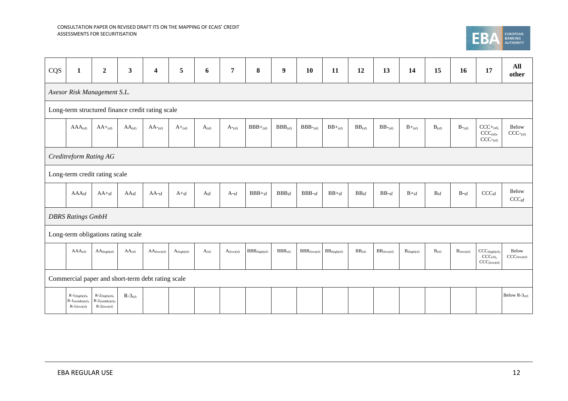

| CQS | $\mathbf{1}$                                                | $\overline{2}$                                           | $\mathbf{3}$                                      | $\overline{\mathbf{4}}$ | 5                | 6            | 7                  | 8                  | $\boldsymbol{9}$  | 10                    | 11                       | 12               | 13                 | 14                           | 15         | 16                     | 17                                                              | All<br>other                          |
|-----|-------------------------------------------------------------|----------------------------------------------------------|---------------------------------------------------|-------------------------|------------------|--------------|--------------------|--------------------|-------------------|-----------------------|--------------------------|------------------|--------------------|------------------------------|------------|------------------------|-----------------------------------------------------------------|---------------------------------------|
|     | Axesor Risk Management S.L.                                 |                                                          |                                                   |                         |                  |              |                    |                    |                   |                       |                          |                  |                    |                              |            |                        |                                                                 |                                       |
|     |                                                             |                                                          | Long-term structured finance credit rating scale  |                         |                  |              |                    |                    |                   |                       |                          |                  |                    |                              |            |                        |                                                                 |                                       |
|     | $AAA$ <sub>(sf)</sub>                                       | $AA +_{(sf)}$                                            | $AA_{(sf)}$                                       | $AA$ -(sf)              | $A+_{(sf)}$      | $A_{(sf)}$   | $A_{\text{-(sf)}}$ | $BBB+_{(sf)}$      | $BBB_{(sf)}$      | $BBB$ -(sf)           | $BB+_{(sf)}$             | $BB_{(sf)}$      | $BB$ -(sf)         | $B+_{(sf)}$                  | $B_{(sf)}$ | $B_{\text{-}(sf)}$     | $CCC+_{(sf)}$<br>$CCC_{(sf)}$<br>$CCC_{\text{csf}}$             | Below<br>CCC <sub>cf</sub>            |
|     | Creditreform Rating AG                                      |                                                          |                                                   |                         |                  |              |                    |                    |                   |                       |                          |                  |                    |                              |            |                        |                                                                 |                                       |
|     | Long-term credit rating scale                               |                                                          |                                                   |                         |                  |              |                    |                    |                   |                       |                          |                  |                    |                              |            |                        |                                                                 |                                       |
|     | AAA <sub>sf</sub>                                           | $AA +sf$                                                 | AA <sub>sf</sub>                                  | $AA$ -sf                | $A+_{sf}$        | $A_{\rm sf}$ | $A_{\text{Sf}}$    | $BBB +sf$          | BBB <sub>sf</sub> | $BBB-sf$              | $\rm BB +_{S f}$         | BB <sub>sf</sub> | $\rm BB\text{-}sf$ | $\mathrm{B} +_{\mathrm{sf}}$ | $B_{sf}$   | $B-sf$                 | CCC <sub>sf</sub>                                               | Below<br>$\mathrm{CCC}_{\mathrm{sf}}$ |
|     | <b>DBRS Ratings GmbH</b>                                    |                                                          |                                                   |                         |                  |              |                    |                    |                   |                       |                          |                  |                    |                              |            |                        |                                                                 |                                       |
|     |                                                             |                                                          | Long-term obligations rating scale                |                         |                  |              |                    |                    |                   |                       |                          |                  |                    |                              |            |                        |                                                                 |                                       |
|     | $AAA$ (sf)                                                  | $AA$ (high)(sf)                                          | $AA$ (sf)                                         | $AA_{(low)(sf)}$        | $A_{(high)(sf)}$ | $A_{(sf)}$   | $A_{(low)(sf)}$    | $BBB_{(high)(sf)}$ | BBB(sf)           | $BBB_{\rm (low)(sf)}$ | $BB_{\text{(high)(sf)}}$ | BB(sf)           | $BB$ (low)(sf)     | $B_{(high)(sf)}$             | $B_{(sf)}$ | $B_{\text{(low)(sf)}}$ | CCC <sub>(high)(sf)</sub><br>$CCC_{(sf)},$<br>$CCC_{(low)(sf)}$ | Below<br>$CCC_{\text{(low)(sf)}}$     |
|     |                                                             |                                                          | Commercial paper and short-term debt rating scale |                         |                  |              |                    |                    |                   |                       |                          |                  |                    |                              |            |                        |                                                                 |                                       |
|     | $R-1$ (high)(sf),<br>$R-1$ (middle)(sf),<br>$R-1$ (low)(sf) | $R-2$ (high)(sf),<br>R-2(middle)(sf),<br>$R-2$ (low)(sf) | $R-3$ <sub>(sf)</sub>                             |                         |                  |              |                    |                    |                   |                       |                          |                  |                    |                              |            |                        |                                                                 | Below R- $3_{\text{(sf)}}$            |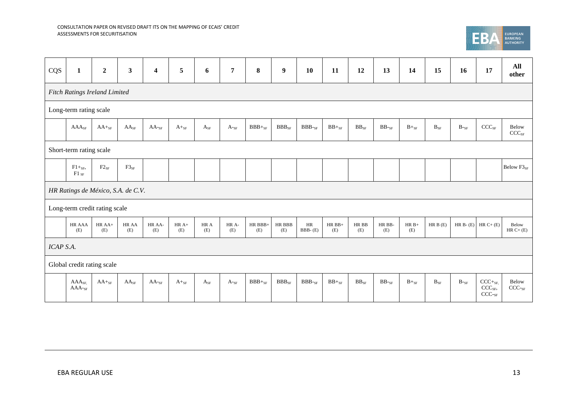

| CQS       | $\mathbf{1}$                       | $\boldsymbol{2}$ | $\mathbf{3}$     | $\overline{\mathbf{4}}$ | 5              | 6           | $\overline{7}$  | $\bf{8}$        | 9             | <b>10</b>                     | 11              | 12           | 13            | 14             | 15       | 16              | 17                                                  | All<br>other               |
|-----------|------------------------------------|------------------|------------------|-------------------------|----------------|-------------|-----------------|-----------------|---------------|-------------------------------|-----------------|--------------|---------------|----------------|----------|-----------------|-----------------------------------------------------|----------------------------|
|           | Fitch Ratings Ireland Limited      |                  |                  |                         |                |             |                 |                 |               |                               |                 |              |               |                |          |                 |                                                     |                            |
|           | Long-term rating scale             |                  |                  |                         |                |             |                 |                 |               |                               |                 |              |               |                |          |                 |                                                     |                            |
|           | $AAA_{SF}$                         | $AA+_{SF}$       | AA <sub>SF</sub> | $AA$ -sf                | $A+_{SF}$      | $A_{SF}$    | $A$ -sf         | $BBB+_{SF}$     | $BBB_{SF}$    | $\rm{BBB}\mbox{-} \rm{_{SF}}$ | $BB +_{SF}$     | $BB_{SF}$    | $BB$ -sf      | $B+_{SF}$      | $B_{SF}$ | $B$ -sf         | $CCC_{SF}$                                          | Below<br>CCC <sub>SF</sub> |
|           | Short-term rating scale            |                  |                  |                         |                |             |                 |                 |               |                               |                 |              |               |                |          |                 |                                                     |                            |
|           | $F1+_{SF}$<br>$F1_{SF}$            | $F2_{SF}$        | $F3_{SF}$        |                         |                |             |                 |                 |               |                               |                 |              |               |                |          |                 |                                                     | Below F3 <sub>SF</sub>     |
|           | HR Ratings de México, S.A. de C.V. |                  |                  |                         |                |             |                 |                 |               |                               |                 |              |               |                |          |                 |                                                     |                            |
|           | Long-term credit rating scale      |                  |                  |                         |                |             |                 |                 |               |                               |                 |              |               |                |          |                 |                                                     |                            |
|           | HR AAA<br>(E)                      | HR AA+<br>(E)    | HR AA<br>(E)     | HR AA-<br>(E)           | $HR A+$<br>(E) | HR A<br>(E) | HR A-<br>(E)    | HR BBB+<br>(E)  | HR BBB<br>(E) | $\rm{HR}$<br>BBB-(E)          | $HR BB+$<br>(E) | HR BB<br>(E) | HR BB-<br>(E) | $HR B+$<br>(E) | HR B(E)  | HR $B-(E)$      | $HR C+ (E)$                                         | Below<br>$HR C+ (E)$       |
| ICAP S.A. |                                    |                  |                  |                         |                |             |                 |                 |               |                               |                 |              |               |                |          |                 |                                                     |                            |
|           | Global credit rating scale         |                  |                  |                         |                |             |                 |                 |               |                               |                 |              |               |                |          |                 |                                                     |                            |
|           | $AAA_{SE}$<br>$AAA-SF$             | $AA+_{SF}$       | $AA_{SF}$        | $AA$ - $_{SF}$          | $A+_{SF}$      | $A_{SF}$    | $A_{\text{S}F}$ | $\rm BBB+_{SF}$ | $BBB_{SF}$    | $BBB$ - $SF$                  | $BB +_{SF}$     | $BB_{SF}$    | $BB$ - $SF$   | $B+_{SF}$      | $B_{SF}$ | $B_{\text{S}F}$ | $CCC+_{SF}$<br>CCC <sub>SF</sub><br>$\text{CCC-sr}$ | Below<br>CCC <sub>SF</sub> |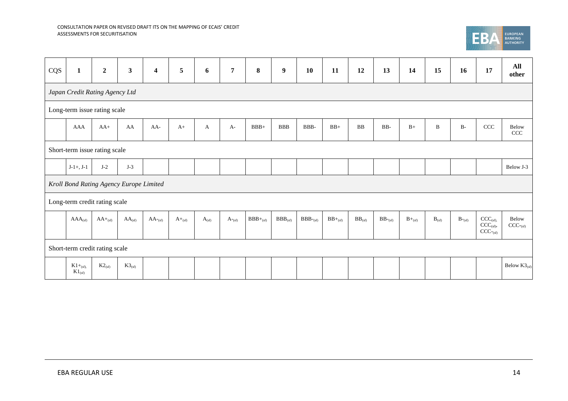

| CQS | $\mathbf{1}$                   | $\boldsymbol{2}$ | $\overline{\mathbf{3}}$                 | $\overline{\mathbf{4}}$ | 5           | 6          | $\overline{7}$     | 8             | $\boldsymbol{9}$ | 10          | 11           | 12          | 13            | 14          | 15          | 16                 | 17                                          | All<br>other                    |
|-----|--------------------------------|------------------|-----------------------------------------|-------------------------|-------------|------------|--------------------|---------------|------------------|-------------|--------------|-------------|---------------|-------------|-------------|--------------------|---------------------------------------------|---------------------------------|
|     | Japan Credit Rating Agency Ltd |                  |                                         |                         |             |            |                    |               |                  |             |              |             |               |             |             |                    |                                             |                                 |
|     | Long-term issue rating scale   |                  |                                         |                         |             |            |                    |               |                  |             |              |             |               |             |             |                    |                                             |                                 |
|     | AAA                            | $AA+$            | AA                                      | $AA-$                   | $A+$        | A          | $A-$               | $BBB+$        | <b>BBB</b>       | BBB-        | $BB+$        | $_{\rm BB}$ | $_{\rm BB}$ . | $B+$        | $\mathbf B$ | $B-$               | $\ensuremath{\textup{CCC}}\xspace$          | Below<br>CCC                    |
|     | Short-term issue rating scale  |                  |                                         |                         |             |            |                    |               |                  |             |              |             |               |             |             |                    |                                             |                                 |
|     | $J-1+, J-1$                    | $J-2$            | $J-3$                                   |                         |             |            |                    |               |                  |             |              |             |               |             |             |                    |                                             | Below J-3                       |
|     |                                |                  | Kroll Bond Rating Agency Europe Limited |                         |             |            |                    |               |                  |             |              |             |               |             |             |                    |                                             |                                 |
|     | Long-term credit rating scale  |                  |                                         |                         |             |            |                    |               |                  |             |              |             |               |             |             |                    |                                             |                                 |
|     | $AAA_{(sf)}$                   | $AA+_{(sf)}$     | $AA_{(sf)}$                             | $AA$ - $_{(sf)}$        | $A+_{(sf)}$ | $A_{(sf)}$ | $A_{\text{r}}(sf)$ | $BBB+_{(sf)}$ | $BBB_{(sf)}$     | $BBB$ -(sf) | $BB+_{(sf)}$ | $BB_{(sf)}$ | $BB$ - $(sf)$ | $B+_{(sf)}$ | $B_{(sf)}$  | $B_{\text{-(sf)}}$ | $CCC_{(sf)}$<br>$CCC(sf)$ ,<br>$CCC_{(sf)}$ | Below<br>$CCC_{\text{csf}}$     |
|     | Short-term credit rating scale |                  |                                         |                         |             |            |                    |               |                  |             |              |             |               |             |             |                    |                                             |                                 |
|     | $K1+_{(sf)}$<br>$K1_{(sf)}$    | $K2_{(sf)}$      | $K3_{\text{(sf)}}$                      |                         |             |            |                    |               |                  |             |              |             |               |             |             |                    |                                             | Below $\text{K3}_{(\text{sf})}$ |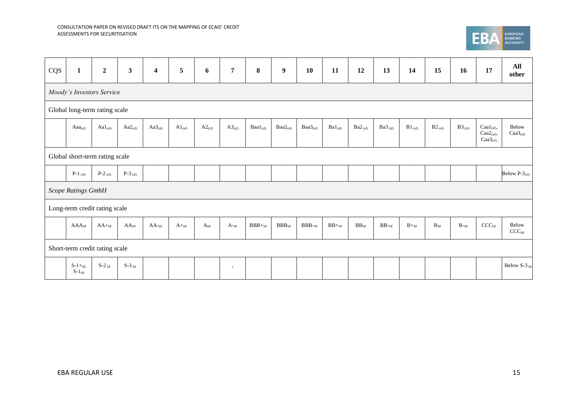

| CQS | $\mathbf{1}$              | $\boldsymbol{2}$               | $\mathbf{3}$      | $\boldsymbol{4}$ | 5           | 6           | $\overline{7}$ | 8               | $\boldsymbol{9}$    | 10            | 11              | 12            | 13                 | 14             | 15                    | 16          | 17                                                                      | All<br>other                         |
|-----|---------------------------|--------------------------------|-------------------|------------------|-------------|-------------|----------------|-----------------|---------------------|---------------|-----------------|---------------|--------------------|----------------|-----------------------|-------------|-------------------------------------------------------------------------|--------------------------------------|
|     |                           | Moody's Investors Service      |                   |                  |             |             |                |                 |                     |               |                 |               |                    |                |                       |             |                                                                         |                                      |
|     |                           | Global long-term rating scale  |                   |                  |             |             |                |                 |                     |               |                 |               |                    |                |                       |             |                                                                         |                                      |
|     | $Aaa_{(sf)}$              | $Aal_{(sf)}$                   | $Aa2_{(sf)}$      | $Aa3_{(sf)}$     | $A1_{(sf)}$ | $A2_{(sf)}$ | $A3_{(sf)}$    | $Baal_{(sf)}$   | $Baa2_{(sf)}$       | $Baa3_{(sf)}$ | $Ba1_{(sf)}$    | $Ba2_{(sf)}$  | Ba $3_{(sf)}$      | $B1_{(sf)}$    | $B2_{(sf)}$           | $B3_{(sf)}$ | $\text{Caal}_{\text{(sf)}},$<br>$Caa2_{(sf)}$ ,<br>Caa3 <sub>(sf)</sub> | Below<br>$\text{Caa3}_{\text{(sf)}}$ |
|     |                           | Global short-term rating scale |                   |                  |             |             |                |                 |                     |               |                 |               |                    |                |                       |             |                                                                         |                                      |
|     | $P-1$ (sf)                | P-2 $_{\rm (sf)}$              | P-3 $_{\rm (sf)}$ |                  |             |             |                |                 |                     |               |                 |               |                    |                |                       |             |                                                                         | Below P- $3_{(sf)}$                  |
|     | Scope Ratings GmbH        |                                |                   |                  |             |             |                |                 |                     |               |                 |               |                    |                |                       |             |                                                                         |                                      |
|     |                           | Long-term credit rating scale  |                   |                  |             |             |                |                 |                     |               |                 |               |                    |                |                       |             |                                                                         |                                      |
|     | AAA <sub>SF</sub>         | $AA+_{SF}$                     | $AA_{SF}$         | $AA$ -sf         | $A+_{SF}$   | $A_{SF}$    | $A$ -sf        | $\rm BBB+_{SF}$ | $\rm{BBB}_{\rm SF}$ | $\rm{BBB-sF}$ | $\rm BB +_{SF}$ | $\rm BB_{SF}$ | $\rm BB\text{-}sr$ | $\rm B +_{SF}$ | $\mathbf{B}_{\rm SF}$ | $B$ -sf     | $\text{CCC}_{\text{SF}}$                                                | Below<br>$CCC_{SF}$                  |
|     |                           | Short-term credit rating scale |                   |                  |             |             |                |                 |                     |               |                 |               |                    |                |                       |             |                                                                         |                                      |
|     | $S-1+_{SF}$<br>$S-1_{SF}$ | $S-2$ <sub>SF</sub>            | $S-3$ SF          |                  |             |             | $\rightarrow$  |                 |                     |               |                 |               |                    |                |                       |             |                                                                         | Below S-3 SF                         |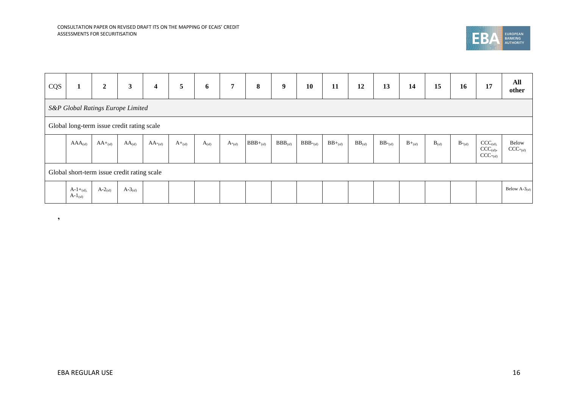

| CQS |                               | $\boldsymbol{2}$ | $\mathbf{3}$                                | $\overline{\mathbf{4}}$ | 5           | 6          | $\overline{7}$               | 8             | $\boldsymbol{9}$ | 10           | 11           | 12          | 13                     | 14          | 15         | 16                 | 17                                          | All<br>other          |
|-----|-------------------------------|------------------|---------------------------------------------|-------------------------|-------------|------------|------------------------------|---------------|------------------|--------------|--------------|-------------|------------------------|-------------|------------|--------------------|---------------------------------------------|-----------------------|
|     |                               |                  | S&P Global Ratings Europe Limited           |                         |             |            |                              |               |                  |              |              |             |                        |             |            |                    |                                             |                       |
|     |                               |                  | Global long-term issue credit rating scale  |                         |             |            |                              |               |                  |              |              |             |                        |             |            |                    |                                             |                       |
|     | $AAA_{(sf)}$                  | $AA+_{(sf)}$     | $AA_{(sf)}$                                 | $AA$ <sup>-</sup> (sf)  | $A+_{(sf)}$ | $A_{(sf)}$ | $A_{\text{-}}_{\text{(sf)}}$ | $BBB+_{(sf)}$ | $BBB_{(sf)}$     | $BBB_{(sf)}$ | $BB+_{(sf)}$ | $BB_{(sf)}$ | $BB$ <sup>-</sup> (sf) | $B+_{(sf)}$ | $B_{(sf)}$ | $B_{\sim\rm (sf)}$ | $CCC_{(sf)}$<br>$CCC_{(sf)},$<br>$CCC-(sf)$ | Below<br>$CCC_{(sf)}$ |
|     |                               |                  | Global short-term issue credit rating scale |                         |             |            |                              |               |                  |              |              |             |                        |             |            |                    |                                             |                       |
|     | $A-1+_{(sf)}$<br>$A-1_{(sf)}$ | $A-2_{(sf)}$     | $A-3_{(sf)}$                                |                         |             |            |                              |               |                  |              |              |             |                        |             |            |                    |                                             | Below $A-3$ (sf)      |

**'**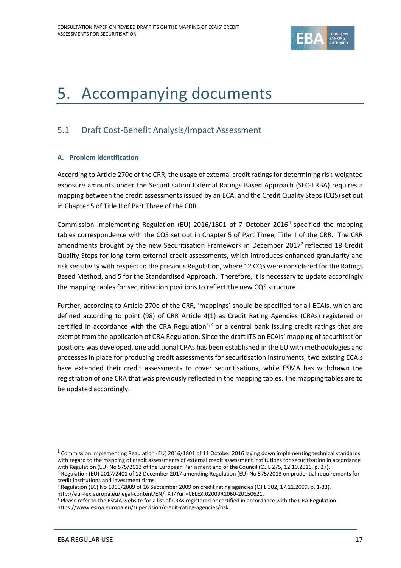

## 5. Accompanying documents

## 5.1 Draft Cost-Benefit Analysis/Impact Assessment

## **A. Problem identification**

According to Article 270e of the CRR, the usage of external credit ratings for determining risk-weighted exposure amounts under the Securitisation External Ratings Based Approach (SEC-ERBA) requires a mapping between the credit assessments issued by an ECAI and the Credit Quality Steps (CQS) set out in Chapter 5 of Title II of Part Three of the CRR.

Commission Implementing Regulation (EU) 2016/1801 of 7 October 2016<sup>1</sup> specified the mapping tables correspondence with the CQS set out in Chapter 5 of Part Three, Title II of the CRR. The CRR amendments brought by the new Securitisation Framework in December 2017<sup>2</sup> reflected 18 Credit Quality Steps for long-term external credit assessments, which introduces enhanced granularity and risk sensitivity with respect to the previous Regulation, where 12 CQS were considered for the Ratings Based Method, and 5 for the Standardised Approach. Therefore, it is necessary to update accordingly the mapping tables for securitisation positions to reflect the new CQS structure.

Further, according to Article 270e of the CRR, 'mappings' should be specified for all ECAIs, which are defined according to point (98) of CRR Article 4(1) as Credit Rating Agencies (CRAs) registered or certified in accordance with the CRA Regulation<sup>3, 4</sup> or a central bank issuing credit ratings that are exempt from the application of CRA Regulation. Since the draft ITS on ECAIs' mapping of securitisation positions was developed, one additional CRAs has been established in the EU with methodologies and processes in place for producing credit assessments for securitisation instruments, two existing ECAIs have extended their credit assessments to cover securitisations, while ESMA has withdrawn the registration of one CRA that was previously reflected in the mapping tables. The mapping tables are to be updated accordingly.

<sup>&</sup>lt;sup>1</sup> Commission Implementing Regulation (EU) 2016/1801 of 11 October 2016 laying down implementing technical standards with regard to the mapping of credit assessments of external credit assessment institutions for securitisation in accordance with Regulation (EU) No 575/2013 of the European Parliament and of the Council (OJ L 275, 12.10.2016, p. 27).<br><sup>2</sup> Regulation (EU) 2017/2401 of 12 December 2017 amending Regulation (EU) No 575/2013 on prudential requirement

credit institutions and investment firms.

<sup>3</sup> Regulation (EC) No 1060/2009 of 16 September 2009 on credit rating agencies (OJ L 302, 17.11.2009, p. 1-33). [http://eur-lex.europa.eu/legal-content/EN/TXT/?uri=CELEX:02009R1060-20150621.](http://eur-lex.europa.eu/legal-content/EN/TXT/?uri=CELEX:02009R1060-20150621) 

<sup>4</sup> Please refer to the ESMA website for a list of CRAs registered or certified in accordance with the CRA Regulation. <https://www.esma.europa.eu/supervision/credit-rating-agencies/risk>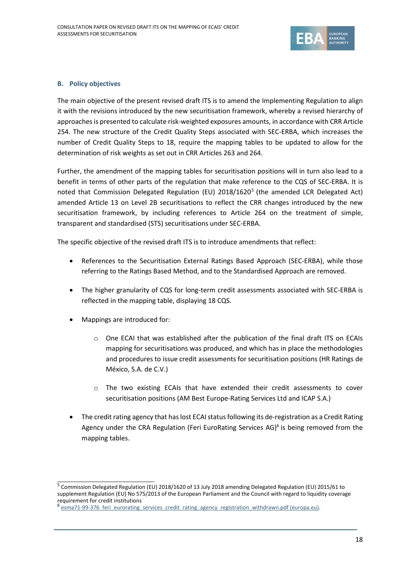

### **B. Policy objectives**

The main objective of the present revised draft ITS is to amend the Implementing Regulation to align it with the revisions introduced by the new securitisation framework, whereby a revised hierarchy of approaches is presented to calculate risk-weighted exposures amounts, in accordance with CRR Article 254. The new structure of the Credit Quality Steps associated with SEC-ERBA, which increases the number of Credit Quality Steps to 18, require the mapping tables to be updated to allow for the determination of risk weights as set out in CRR Articles 263 and 264.

Further, the amendment of the mapping tables for securitisation positions will in turn also lead to a benefit in terms of other parts of the regulation that make reference to the CQS of SEC-ERBA. It is noted that Commission Delegated Regulation (EU) 2018/1620<sup>5</sup> (the amended LCR Delegated Act) amended Article 13 on Level 2B securitisations to reflect the CRR changes introduced by the new securitisation framework, by including references to Article 264 on the treatment of simple, transparent and standardised (STS) securitisations under SEC-ERBA.

The specific objective of the revised draft ITS is to introduce amendments that reflect:

- References to the Securitisation External Ratings Based Approach (SEC-ERBA), while those referring to the Ratings Based Method, and to the Standardised Approach are removed.
- The higher granularity of CQS for long-term credit assessments associated with SEC-ERBA is reflected in the mapping table, displaying 18 CQS.
- Mappings are introduced for:
	- o One ECAI that was established after the publication of the final draft ITS on ECAIs mapping for securitisations was produced, and which has in place the methodologies and procedures to issue credit assessments for securitisation positions (HR Ratings de México, S.A. de C.V.)
	- $\circ$  The two existing ECAIs that have extended their credit assessments to cover securitisation positions (AM Best Europe-Rating Services Ltd and ICAP S.A.)
- The credit rating agency that has lost ECAI status following its de-registration as a Credit Rating Agency under the CRA Regulation (Feri EuroRating Services AG)<sup>6</sup> is being removed from the mapping tables.

<sup>&</sup>lt;sup>5</sup> Commission Delegated Regulation (EU) 2018/1620 of 13 July 2018 amending Delegated Regulation (EU) 2015/61 to supplement Regulation (EU) No 575/2013 of the European Parliament and the Council with regard to liquidity coverage requirement for credit institutions<br><sup>6</sup> esma71-99-376, feri, eurorating

esma71-99-376 feri eurorating services credit rating agency registration withdrawn.pdf (europa.eu).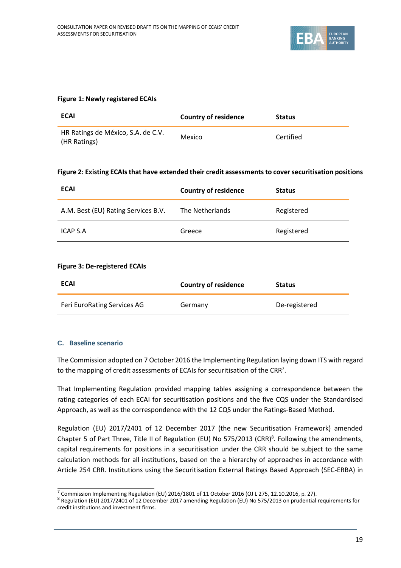

### **Figure 1: Newly registered ECAIs**

| <b>ECAI</b>                                        | Country of residence | <b>Status</b> |
|----------------------------------------------------|----------------------|---------------|
| HR Ratings de México, S.A. de C.V.<br>(HR Ratings) | Mexico               | Certified     |

#### **Figure 2: Existing ECAIs that have extended their credit assessments to cover securitisation positions**

| <b>ECAI</b>                         | <b>Country of residence</b> | <b>Status</b> |
|-------------------------------------|-----------------------------|---------------|
| A.M. Best (EU) Rating Services B.V. | The Netherlands             | Registered    |
| ICAP S.A                            | Greece                      | Registered    |

### **Figure 3: De-registered ECAIs**

| <b>ECAI</b>                 | <b>Country of residence</b> | <b>Status</b> |
|-----------------------------|-----------------------------|---------------|
| Feri EuroRating Services AG | Germany                     | De-registered |

## **C. Baseline scenario**

The Commission adopted on 7 October 2016 the Implementing Regulation laying down ITS with regard to the mapping of credit assessments of ECAIs for securitisation of the CRR<sup>7</sup>.

That Implementing Regulation provided mapping tables assigning a correspondence between the rating categories of each ECAI for securitisation positions and the five CQS under the Standardised Approach, as well as the correspondence with the 12 CQS under the Ratings-Based Method.

Regulation (EU) 2017/2401 of 12 December 2017 (the new Securitisation Framework) amended Chapter 5 of Part Three, Title II of Regulation (EU) No 575/2013 (CRR)<sup>8</sup>. Following the amendments, capital requirements for positions in a securitisation under the CRR should be subject to the same calculation methods for all institutions, based on the a hierarchy of approaches in accordance with Article 254 CRR. Institutions using the Securitisation External Ratings Based Approach (SEC-ERBA) in

 $\frac{7}{2}$  Commission Implementing Regulation (EU) 2016/1801 of 11 October 2016 (OJ L 275, 12.10.2016, p. 27).

<sup>&</sup>lt;sup>8</sup> Regulation (EU) 2017/2401 of 12 December 2017 amending Regulation (EU) No 575/2013 on prudential requirements for credit institutions and investment firms.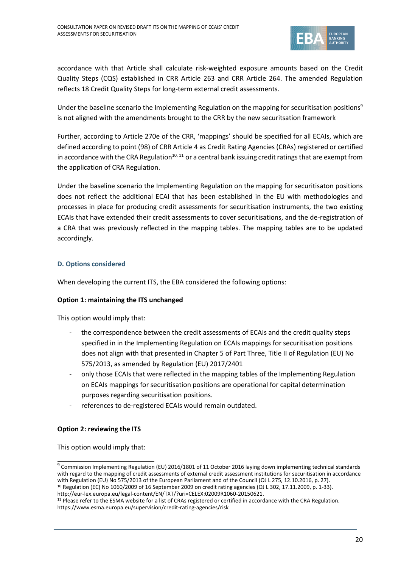

accordance with that Article shall calculate risk-weighted exposure amounts based on the Credit Quality Steps (CQS) established in CRR Article 263 and CRR Article 264. The amended Regulation reflects 18 Credit Quality Steps for long-term external credit assessments.

Under the baseline scenario the Implementing Regulation on the mapping for securitisation positions<sup>9</sup> is not aligned with the amendments brought to the CRR by the new securitsation framework

Further, according to Article 270e of the CRR, 'mappings' should be specified for all ECAIs, which are defined according to point (98) of CRR Article 4 as Credit Rating Agencies (CRAs) registered or certified in accordance with the CRA Regulation<sup>10, 11</sup> or a central bank issuing credit ratings that are exempt from the application of CRA Regulation.

Under the baseline scenario the Implementing Regulation on the mapping for securitisaton positions does not reflect the additional ECAI that has been established in the EU with methodologies and processes in place for producing credit assessments for securitisation instruments, the two existing ECAIs that have extended their credit assessments to cover securitisations, and the de-registration of a CRA that was previously reflected in the mapping tables. The mapping tables are to be updated accordingly.

## **D. Options considered**

When developing the current ITS, the EBA considered the following options:

## **Option 1: maintaining the ITS unchanged**

This option would imply that:

- the correspondence between the credit assessments of ECAIs and the credit quality steps specified in in the Implementing Regulation on ECAIs mappings for securitisation positions does not align with that presented in Chapter 5 of Part Three, Title II of Regulation (EU) No 575/2013, as amended by Regulation (EU) 2017/2401
- only those ECAIs that were reflected in the mapping tables of the Implementing Regulation on ECAIs mappings for securitisation positions are operational for capital determination purposes regarding securitisation positions.
- references to de-registered ECAIs would remain outdated.

## **Option 2: reviewing the ITS**

This option would imply that:

<sup>&</sup>lt;sup>9</sup> Commission Implementing Regulation (EU) 2016/1801 of 11 October 2016 laying down implementing technical standards with regard to the mapping of credit assessments of external credit assessment institutions for securitisation in accordance with Regulation (EU) No 575/2013 of the European Parliament and of the Council (OJ L 275, 12.10.2016, p. 27). <sup>10</sup> Regulation (EC) No 1060/2009 of 16 September 2009 on credit rating agencies (OJ L 302, 17.11.2009, p. 1-33).

[http://eur-lex.europa.eu/legal-content/EN/TXT/?uri=CELEX:02009R1060-20150621.](http://eur-lex.europa.eu/legal-content/EN/TXT/?uri=CELEX:02009R1060-20150621) 

<sup>&</sup>lt;sup>11</sup> Please refer to the ESMA website for a list of CRAs registered or certified in accordance with the CRA Regulation. <https://www.esma.europa.eu/supervision/credit-rating-agencies/risk>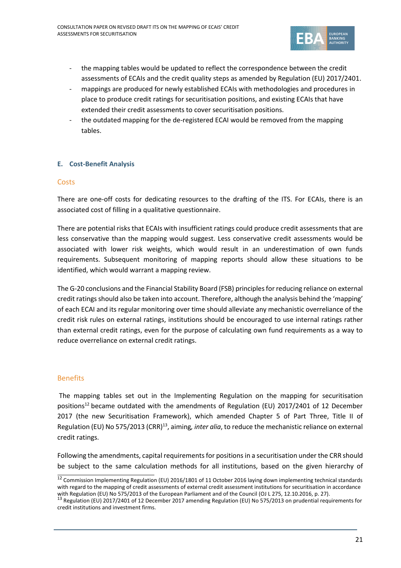

- the mapping tables would be updated to reflect the correspondence between the credit assessments of ECAIs and the credit quality steps as amended by Regulation (EU) 2017/2401.
- mappings are produced for newly established ECAIs with methodologies and procedures in place to produce credit ratings for securitisation positions, and existing ECAIs that have extended their credit assessments to cover securitisation positions.
- the outdated mapping for the de-registered ECAI would be removed from the mapping tables.

## **E. Cost-Benefit Analysis**

## **Costs**

There are one-off costs for dedicating resources to the drafting of the ITS. For ECAIs, there is an associated cost of filling in a qualitative questionnaire.

There are potential risks that ECAIs with insufficient ratings could produce credit assessments that are less conservative than the mapping would suggest. Less conservative credit assessments would be associated with lower risk weights, which would result in an underestimation of own funds requirements. Subsequent monitoring of mapping reports should allow these situations to be identified, which would warrant a mapping review.

The G-20 conclusions and the Financial Stability Board (FSB) principles for reducing reliance on external credit ratings should also be taken into account. Therefore, although the analysis behind the 'mapping' of each ECAI and its regular monitoring over time should alleviate any mechanistic overreliance of the credit risk rules on external ratings, institutions should be encouraged to use internal ratings rather than external credit ratings, even for the purpose of calculating own fund requirements as a way to reduce overreliance on external credit ratings.

## **Benefits**

The mapping tables set out in the Implementing Regulation on the mapping for securitisation positions<sup>12</sup> became outdated with the amendments of Regulation (EU) 2017/2401 of 12 December 2017 (the new Securitisation Framework), which amended Chapter 5 of Part Three, Title II of Regulation (EU) No 575/2013 (CRR)<sup>13</sup>, aiming, *inter alia*, to reduce the mechanistic reliance on external credit ratings.

Following the amendments, capital requirements for positions in a securitisation under the CRR should be subject to the same calculation methods for all institutions, based on the given hierarchy of

 $12$  Commission Implementing Regulation (EU) 2016/1801 of 11 October 2016 laying down implementing technical standards with regard to the mapping of credit assessments of external credit assessment institutions for securitisation in accordance

with Regulation (EU) No 575/2013 of the European Parliament and of the Council (OJ L 275, 12.10.2016, p. 27).<br><sup>13</sup> Regulation (EU) 2017/2401 of 12 December 2017 amending Regulation (EU) No 575/2013 on prudential requiremen credit institutions and investment firms.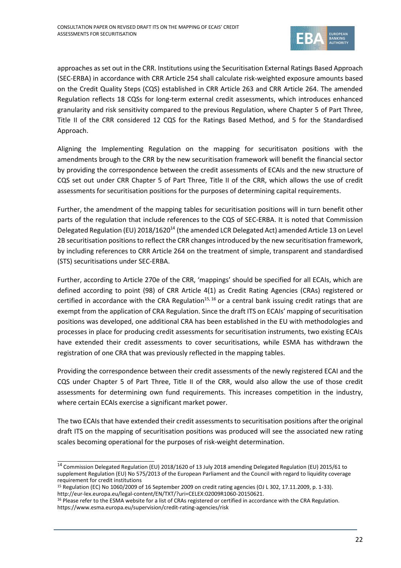

approaches as set out in the CRR. Institutions using the Securitisation External Ratings Based Approach (SEC-ERBA) in accordance with CRR Article 254 shall calculate risk-weighted exposure amounts based on the Credit Quality Steps (CQS) established in CRR Article 263 and CRR Article 264. The amended Regulation reflects 18 CQSs for long-term external credit assessments, which introduces enhanced granularity and risk sensitivity compared to the previous Regulation, where Chapter 5 of Part Three, Title II of the CRR considered 12 CQS for the Ratings Based Method, and 5 for the Standardised Approach.

Aligning the Implementing Regulation on the mapping for securitisaton positions with the amendments brough to the CRR by the new securitisation framework will benefit the financial sector by providing the correspondence between the credit assessments of ECAIs and the new structure of CQS set out under CRR Chapter 5 of Part Three, Title II of the CRR, which allows the use of credit assessments for securitisation positions for the purposes of determining capital requirements.

Further, the amendment of the mapping tables for securitisation positions will in turn benefit other parts of the regulation that include references to the CQS of SEC-ERBA. It is noted that Commission Delegated Regulation (EU) 2018/1620<sup>14</sup> (the amended LCR Delegated Act) amended Article 13 on Level 2B securitisation positions to reflect the CRR changes introduced by the new securitisation framework, by including references to CRR Article 264 on the treatment of simple, transparent and standardised (STS) securitisations under SEC-ERBA.

Further, according to Article 270e of the CRR, 'mappings' should be specified for all ECAIs, which are defined according to point (98) of CRR Article 4(1) as Credit Rating Agencies (CRAs) registered or certified in accordance with the CRA Regulation<sup>15, 16</sup> or a central bank issuing credit ratings that are exempt from the application of CRA Regulation. Since the draft ITS on ECAIs' mapping of securitisation positions was developed, one additional CRA has been established in the EU with methodologies and processes in place for producing credit assessments for securitisation instruments, two existing ECAIs have extended their credit assessments to cover securitisations, while ESMA has withdrawn the registration of one CRA that was previously reflected in the mapping tables.

Providing the correspondence between their credit assessments of the newly registered ECAI and the CQS under Chapter 5 of Part Three, Title II of the CRR, would also allow the use of those credit assessments for determining own fund requirements. This increases competition in the industry, where certain ECAIs exercise a significant market power.

The two ECAIsthat have extended their credit assessments to securitisation positions after the original draft ITS on the mapping of securitisation positions was produced will see the associated new rating scales becoming operational for the purposes of risk-weight determination.

<sup>14</sup> Commission Delegated Regulation (EU) 2018/1620 of 13 July 2018 amending Delegated Regulation (EU) 2015/61 to supplement Regulation (EU) No 575/2013 of the European Parliament and the Council with regard to liquidity coverage requirement for credit institutions

<sup>15</sup> Regulation (EC) No 1060/2009 of 16 September 2009 on credit rating agencies (OJ L 302, 17.11.2009, p. 1-33). [http://eur-lex.europa.eu/legal-content/EN/TXT/?uri=CELEX:02009R1060-20150621.](http://eur-lex.europa.eu/legal-content/EN/TXT/?uri=CELEX:02009R1060-20150621) 

<sup>&</sup>lt;sup>16</sup> Please refer to the ESMA website for a list of CRAs registered or certified in accordance with the CRA Regulation. <https://www.esma.europa.eu/supervision/credit-rating-agencies/risk>